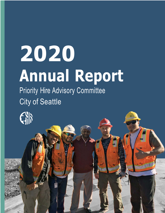# **2020 Annual Report**

Priority Hire Advisory Committee City of Seattle

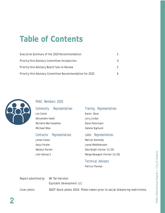# **Table of Contents**

| Executive Summary of the 2020 Recommendation             |   |
|----------------------------------------------------------|---|
| Priority Hire Advisory Committee Introduction            | 4 |
| Priority Hire Advisory Board Year-In-Review              | h |
| Priority Hire Advisory Committee Recommendation for 2020 |   |



### PHAC Members 2020:

Community Representatives Joe Carter Abiramahn Hashi Michelle Merriweather Michael Woo

#### Contractor Representatives

James Faison Sonja Forster Melanie Parrett John Salinas II

### Training Representatives

Karen Dove Jerry Jordan Steve Petermann Halene Sigmund

#### Labor Representatives

Marilyn Kennedy Jamal Middlebrooks Dale Bright (former 11/20) Marge Newgent (former 11/20)

### Technical Advisors

Patrice Thomas

Report submitted by: W. Tali Hairston Equitable Development LLC Cover photo: SDOT Stock photo 2019. Photo taken prior to social distancing restrictions.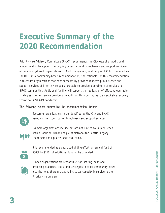### **Executive Summary of the 2020 Recommendation**

Priority Hire Advisory Committee (PHAC) recommends the City establish additional annual funding to support the ongoing capacity building (outreach and support services) of community-based organizations to Black, Indigenous, and People of Color communities (BIPOC). As a community-based recommendation, the rationale for this recommendation is to ensure organizations that have successfully provided leadership in outreach and support services of Priority Hire goals, are able to provide a continuity of services to BIPOC communities. Additional funding will support the replication of effective equitable strategies to other service providers. In addition, this contributes to an equitable recovery from the COVID-19 pandemic.

The following points summarize the recommendation further:



Successful organizations to be identified by the City and PHAC based on their contribution to outreach and support services.

Example organizations include but are not limited to Rainier Beach Action Coalition, Urban League of Metropolitan Seattle, Legacy Leadership and Equality, and Casa Latina.



It is recommended as a capacity-building effort, an annual fund of \$500k to \$750k of additional funding be provided.



Funded organizations are responsible for sharing best and promising practices, tools, and strategies to other community-based organizations, therein creating increased capacity in service to the Priority Hire program.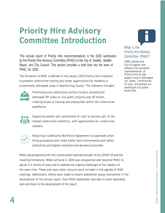# **Priority Hire Advisory Committee Introduction**

This annual report of Priority Hire recommendations is the 2020 submission by the Priority Hire Advisory Committee (PHAC) to the City of Seattle, Seattle Mayor, and City Council. This section provides a brief look into the work of PHAC for 2020.

The formation of PHAC is defined in the January 2015 Priority Hire ordinance to promote construction training and career opportunities for residents in economically distressed areas in Seattle/King County. The ordinance includes:



Prioritizing local construction workers living in economically distressed ZIP codes on City public projects over \$5 million, creating access to training and employment within the construction workforce.



Supporting women and communities of color to become part of the trained construction workforce, with opportunities for construction careers.



Requiring a Community Workforce Agreement to supersede union hiring procedures and create better work environments with safety protections and dispute resolution and grievance processes.

PHAC was presented with the complicated realities brought on by COVID-19 and the resulting limitations. What surfaced in 2020 was unexpected and required PHAC to adjust in a variety of ways and to address the ongoing challenges of the industry at the same time. These and many other concerns were included in the agenda of PHAC meetings. Additionally, efforts were made to ensure stakeholder group involvement in the development of this annual report. Each PHAC stakeholder was able to meet separately and contribute to the development of the report.

### What is the Priority Hire Advisory Committee (PHAC)?

PHAC advises the City to support and enhance the successful implementation of Priority Hire so that people living in distressed zip codes, communities of color, and women are working on City public works jobs.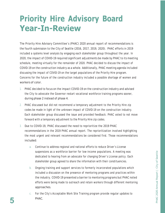# **Priority Hire Advisory Board Year-In-Review**

The Priority Hire Advisory Committee's (PHAC) 2020 annual report of recommendations is the fourth submission to the City of Seattle (2016, 2017, 2019, 2020). PHAC efforts in 2019 included a systems level analysis by engaging each stakeholder group throughout the year. In 2020, the impact of COVID-19 required significant adjustments be made by PHAC to its meeting schedule, meeting virtually for the remainder of 2020. PHAC decided to discuss the impact of COVID-19 on the construction industry as a whole. Additionally, PHAC meeting agenda included discussing the impact of COVID-19 on the target populations of the Priority Hire program. Concerns for the future of the construction industry included a possible shortage of women and workers of color.

- 1. PHAC decided to focus on the impact COVID-19 on the construction industry and advised the City to advocate the Governor restart vocational workforce training programs sooner, during phase 2 instead of phase 4.
- 2. PHAC discussed but did not recommend a temporary adjustment to the Priority Hire zip codes be made in light of the unknown impact of COVID-19 on the construction industry. Each stakeholder group discussed the issue and provided feedback. PHAC voted to not move forward with a temporary adjustment to the Priority Hire zip codes.
- 3. Due to COVID-19, PHAC discussed the need to reprioritize the 2019 PHAC recommendations in the 2019 PHAC annual report. The reprioritization involved highlighting the most urgent and relevant recommendations be considered first. Those recommendations included:
	- a. Continue to address regional and national efforts to reduce Driver's License suspensions as a workforce barrier for low-income populations. A meeting was dedicated to hearing from an advocate for changing Driver's License policy. Each stakeholder group agreed to share the information with their constituencies.
	- b. Ongoing training and support services to formerly incarcerated populations which included a discussion on the presence of mentoring programs and practices within the industry. COVID-19 presented a barrier to mentoring programs but PHAC noted efforts were being made to outreach and retain workers through different mentoring approaches.
- c. For the City's Acceptable Work Site Training program provide regular updates to **5** PHAC.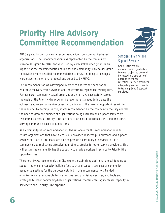# **Priority Hire Advisory Committee Recommendation**

PHAC agreed to put forward a recommendation from community-based organizations. The recommendation was represented by the community stakeholder group to PHAC and discussed by each stakeholder group. Initial support for the recommendation called for the community stakeholder group to provide a more detailed recommendation to PHAC. In doing so, changes were made to the original proposal and agreed to by PHAC.

This recommendation was developed in order to address the need for an equitable recovery from COVID-19 and the efforts to regionalize Priority Hire. Furthermore, community-based organizations who have successfully served the goals of the Priority Hire program believe there is a need to increase the outreach and retention service capacity to align with the growing opportunities within the industry. To accomplish this, it was recommended by the community the City address the need to grow the number of organizations doing outreach and support services by resourcing successful Priority Hire partners to on-board additional BIPOC led and BIPOC serving community-based organizations.

As a community-based recommendation, the rationale for this recommendation is to ensure organizations that have successfully provided leadership in outreach and support services of Priority Hire goals, are able to provide a continuity of services to BIPOC communities by replicating effective equitable strategies for other service providers. This will ensure the community has the capacity to provide workers in service to Priority Hire opportunities.

Therefore, PHAC recommends the City explore establishing additional annual funding to support the ongoing capacity building (outreach and support services) of communitybased organizations for the purposes detailed in this recommendation. Funded organizations are responsible for sharing best and promising practices, and tools and strategies to other community-based organizations, therein creating increased capacity in service to the Priority Hire pipeline.



### Sufficient Training and Support Services

Goal: Sufficient preapprenticeship graduates to meet projected demand; Increased pre-apprentice/ apprentice trainee retention; Service providers adequately connect people to training, jobs & support services.